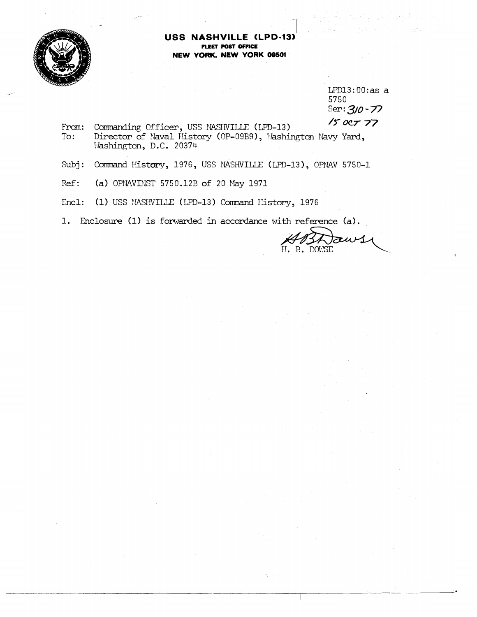

## USS NASHVILLE (LPD-13) **FLEET POST OFFICE** NEW YORK, NEW YORK 09501

 $LPD13:00:as a$ 5750 Ser:  $3/0 - 77$ 

 $150C777$ Commanding Officer, USS NASHVILLE (LPD-13) From: Director of Naval History (OP-09B9), Washington Navy Yard,  $To:$ Washington, D.C. 20374

Command History, 1976, USS NASHVILLE (LPD-13), OPNAV 5750-1  $Subi:$ 

Ref: (a) OPNAVINST 5750.12B of 20 May 1971

Encl: (1) USS MASHVILLE (LPD-13) Command History, 1976

1. Enclosure (1) is forwarded in accordance with reference (a).

Jaw ABAT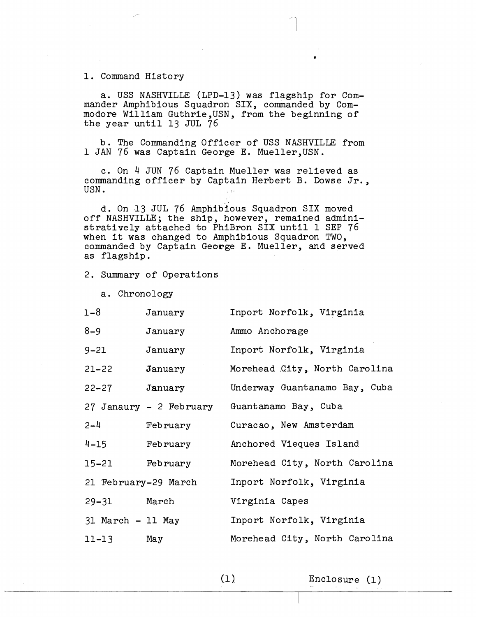1. Command History

a. USS NASHVILLE (LPD-13) was flagship for Commander Amphibious Squadron SIX, commanded by Commodore William Guthrie,USN, from the beginning of the year until 13 JUL 76

<sup>b</sup>. The Commanding Officer of USS NASHVILLE from 1 JAN 76 was Captain George E. Mueller,USN.

c. On 4 JUN 76 Captain Mueller was relieved as commanding officer by Captain Herbert B. Dowse Jr.,<br>USN.

d. On 13 JUL 76 Amphibious Squadron SIX moved off NASHVILLE; the ship, however, remained administratively attached to PhiBron SIX until 1 SEP 76 when it was changed to Amphibious Squadron TWO, commanded by Captain George E. Mueller, and served as flagship.

2. Summary of Operations

a. Chronology

| $1 - 8$           | January                 | Inport Norfolk, Virginia      |
|-------------------|-------------------------|-------------------------------|
| $8 - 9$           | January                 | Ammo Anchorage                |
| $9 - 21$          | January                 | Inport Norfolk, Virginia      |
| $21 - 22$         | January                 | Morehead City, North Carolina |
| 22-27             | January                 | Underway Guantanamo Bay, Cuba |
|                   | 27 Janaury - 2 February | Guantanamo Bay, Cuba          |
| $2 - 4$           | February                | Curacao, New Amsterdam        |
| $4 - 15$          | February                | Anchored Vieques Island       |
| 15-21             | February                | Morehead City, North Carolina |
|                   | 21 February-29 March    | Inport Norfolk, Virginia      |
| 29-31 March       |                         | Virginia Capes                |
| 31 March - 11 May |                         | Inport Norfolk, Virginia      |
| $11 - 13$         | May                     | Morehead City, North Carolina |

 $(1)$ 

Enclosure (1)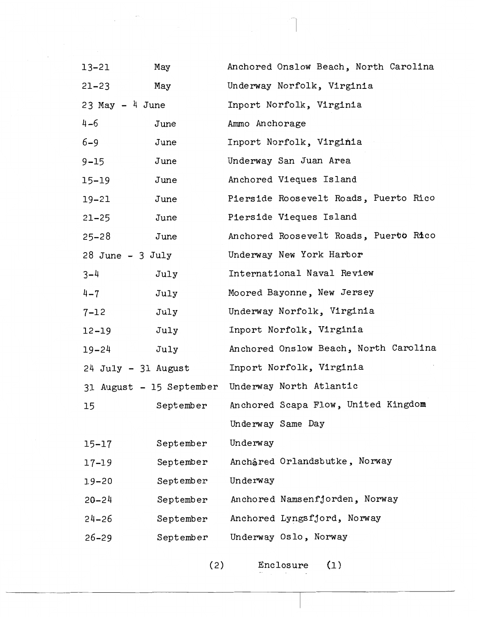| 13-21                | May       | Anchored Onslow Beach, North Carolina            |
|----------------------|-----------|--------------------------------------------------|
| $21 - 23$            | May       | Underway Norfolk, Virginia                       |
| $23$ May $-$ 4 June  |           | Inport Norfolk, Virginia                         |
| $4 - 6$              | June      | Ammo Anchorage                                   |
| $6 - 9$              | June      | Inport Norfolk, Virginia                         |
| $9 - 15$             | June      | Underway San Juan Area                           |
| 15-19                | June      | Anchored Vieques Island                          |
| 19-21                | June      | Pierside Roosevelt Roads, Puerto Rico            |
| $21 - 25$            | June      | Pierside Vieques Island                          |
| $25 - 28$            | June      | Anchored Roosevelt Roads, Puerto Rico            |
| $28$ June - $3$ July |           | Underway New York Harbor                         |
| $3 - 4$              | July      | International Naval Review                       |
| $4 - 7$              | July      | Moored Bayonne, New Jersey                       |
| 7-12                 | July      | Underway Norfolk, Virginia                       |
| 12-19                | July      | Inport Norfolk, Virginia                         |
| 19-24                | July      | Anchored Onslow Beach, North Carolina            |
| 24 July - 31 August  |           | Inport Norfolk, Virginia                         |
|                      |           | 31 August - 15 September Underway North Atlantic |
| 15                   | September | Anchored Scapa Flow, United Kingdom              |
|                      |           | Underway Same Day                                |
| 15–17                | September | Underway                                         |
| 17-19                | September | Anchåred Orlandsbutke, Norway                    |
| 19-20                | September | Underway                                         |
| $20 - 24$            | September | Anchored Namsenfjorden, Norway                   |
| 24–26                | September | Anchored Lyngsfjord, Norway                      |
| $26 - 29$            | September | Underway Oslo, Norway                            |
|                      |           |                                                  |

 $\mathcal{L}^{\text{max}}$ 

 $\overline{a}$ 

 $(2)$  Enclosure  $(1)$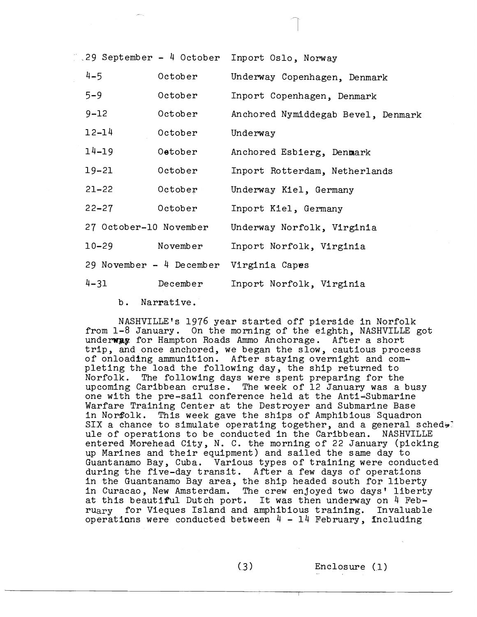| 29 September - 4 October Inport Oslo, Norway |  |  |  |
|----------------------------------------------|--|--|--|
|                                              |  |  |  |

| $4 - 5$                | October                    | Underway Copenhagen, Denmark       |
|------------------------|----------------------------|------------------------------------|
| $5 - 9$                | October                    | Inport Copenhagen, Denmark         |
| $9 - 12$               | October                    | Anchored Nymiddegab Bevel, Denmark |
| $12 - 14$              | October                    | Underway                           |
| $14 - 19$              | Oetober                    | Anchored Esbierg, Denmark          |
| $19 - 21$              | October                    | Inport Rotterdam, Netherlands      |
| $21 - 22$              | October                    | Underway Kiel, Germany             |
| $22 - 27$              | October                    | Inport Kiel, Germany               |
| 27 October-10 November |                            | Underway Norfolk, Virginia         |
| $10 - 29$              | November                   | Inport Norfolk, Virginia           |
|                        | 29 November - $4$ December | Virginia Capes                     |
| $4 - 31$               | December                   | Inport Norfolk, Virginia           |

<sup>b</sup>. Narrative.

NASHVILLE'S 1976 year started off pierside in Norfolk from 1-8 January. On the morning of the eighth, NASHVILLE got underway for Hampton Roads Ammo Anchorage. After a short trip, and once anchored, we began the slow, cautious process of onloadfng ammunition. After staying overnight and completing the load the following day, the ship returned to Norfolk. The following days were spent preparing for the upcoming Caribbean cruise. The week of 12 January was a busy one with the pre-sail conference held at the Anti-Submarine Warfare Training Center at the Destroyer and Submarine Base in Nor8olk. This week gave the ships of Amphibious Squadron SIX a chance to simulate operating together, and a general sched $\div$ ule of operations to be conducted in the Caribbean. NASHVILLE entered Morehead City, N. C. the morning of 22 January (picking up Marines and their equipment) and sailed the same day to Guant anamo Bay, Cuba. Various types of training were conducted during the five-day transit. After a few days of operations in the Guantanamo Bay area, the ship headed south for liberty in Curacao, New Amsterdam. The crew enjoyed two days' liberty at this beautiful Dutch port. It was then underway on 4 February for Vieques Island and amphibious training. Invaluable operations were conducted between  $4 - 14$  February, including

 $(3)$ 

Enclosure (1)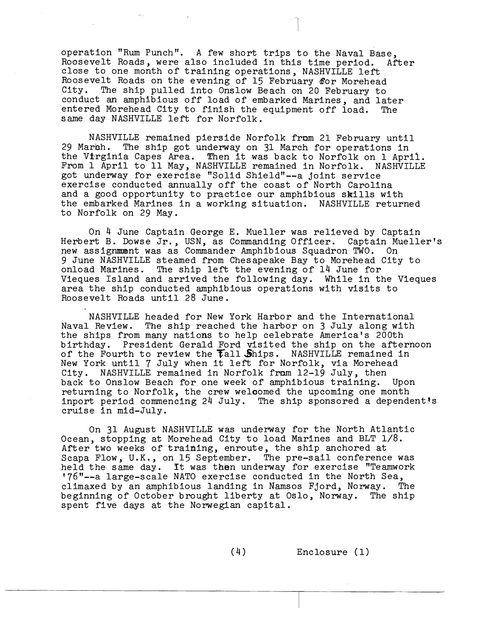operation "Rum Punch". A few short trips to the Naval Base, Roosevelt Roads, were also included in this time period. After close to one month of training operations, NASHVILLE left Roosevelt Roads on the evening of 15 February &or Morehead City. The ship pulled into Onslow Beach on 20 February to conduct an amphibious off load of embarked Marines, and later entered Morehead City to finish the equipment off load. The same day NASHVILLE left for Norfolk.

NASHVILLE remained pierside Norfolk from 21 February until 29 March. The ship got underway on 31 March for operations in the Virginia Capes Area. Then it was back to Norfolk on 1 April. From 1 April to 11 May, NASHVILLE remained in Norfolk. NASHVILLE got underway for exercise "Solid Shield"--a joint service exercise conducted annually off the coast of North Carolina and a good opportunity to practice our amphibious skills with the embarked Marines in a working situation. NASHVILLE returned to Norfolk on 29 May.

On 4 June Captain George E. Mueller was relieved by Captain Herbert B. Dowse Jr., USN, as Commanding Officer. Captain Mueller's new assigmnt was as Commander Amphibious Squadron TWO. On 9 June NASHVILLE steamed from Chesapeake Bay to Morehead City to onload Marines. The ship left the evening of 14 June for Vieques Island and arrived the following day. While in the Vieques area the ship conducted amphibious operations with visits to Roosevelt Roads until 28 June.

NASHVILLE headed for New York Harbor and the International Naval Review. The ship reached the harbor on 3 July along with the ships from many nations to help celebrate America's 200th birthday. President Gerald Ford visited the ship on the afternoon of the Fourth to review the  $Tall$  Ships. NASHVILLE remained in New York until 7 July when it left for Norfolk, via Morehead<br>City. NASHVILLE remained in Norfolk from 12-19 July, then NASHVILLE remained in Norfolk from 12-19 July, then back to Onslow Beach for one week of amphibious training. Upon returning to Norfolk, the crew welcomed the upcoming one month inport period commencing 24 July. The ship sponsored a dependent's cruise in mid-July.

On 31 August NASHVILLE was underway for the North Atlantic Ocean, stopping at Morehead City to load Marines and BLT 1/8. After two weeks of training, enroute, the ship anchored at Scapa Flow, U.K., on 15 September. The pre-sail conference was held the same day. **Tt** was then underway for exercise "Teamwork '76"--a large-scale NATO exercise conducted in the North Sea, climaxed by an amphibious landing in Namsos Fjord, Norway. The beginning of October brought liberty at Oslo, Norway. The ship spent five days at the Norwegian capital.

(4) Enclosure (1)